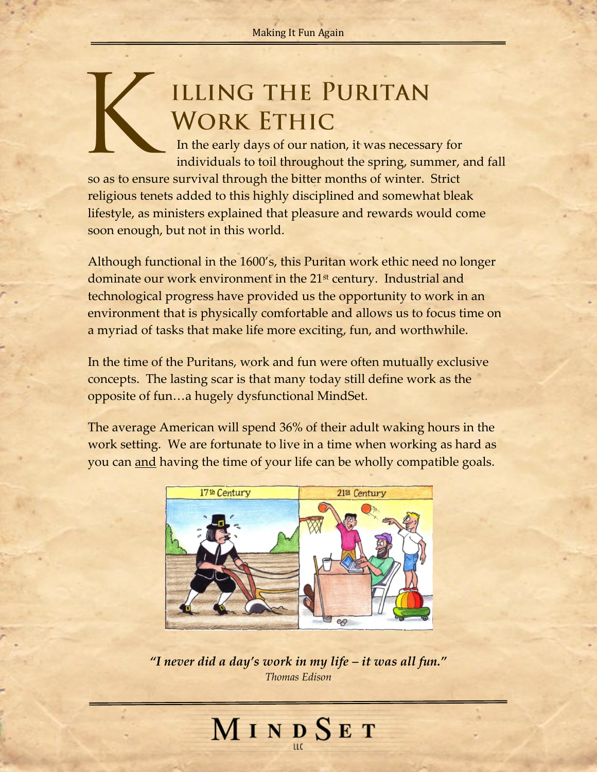## **ILLING THE PURITAN WORK ETHIC**

 In the early days of our nation, it was necessary for individuals to toil throughout the spring, summer, and fall so as to ensure survival through the bitter months of winter. Strict religious tenets added to this highly disciplined and somewhat bleak lifestyle, as ministers explained that pleasure and rewards would come soon enough, but not in this world.

Although functional in the 1600's, this Puritan work ethic need no longer dominate our work environment in the 21<sup>st</sup> century. Industrial and technological progress have provided us the opportunity to work in an environment that is physically comfortable and allows us to focus time on a myriad of tasks that make life more exciting, fun, and worthwhile.

In the time of the Puritans, work and fun were often mutually exclusive concepts. The lasting scar is that many today still define work as the opposite of fun…a hugely dysfunctional MindSet.

The average American will spend 36% of their adult waking hours in the work setting. We are fortunate to live in a time when working as hard as you can and having the time of your life can be wholly compatible goals.



*"I never did a day's work in my life – it was all fun." Thomas Edison*

## MINDSET